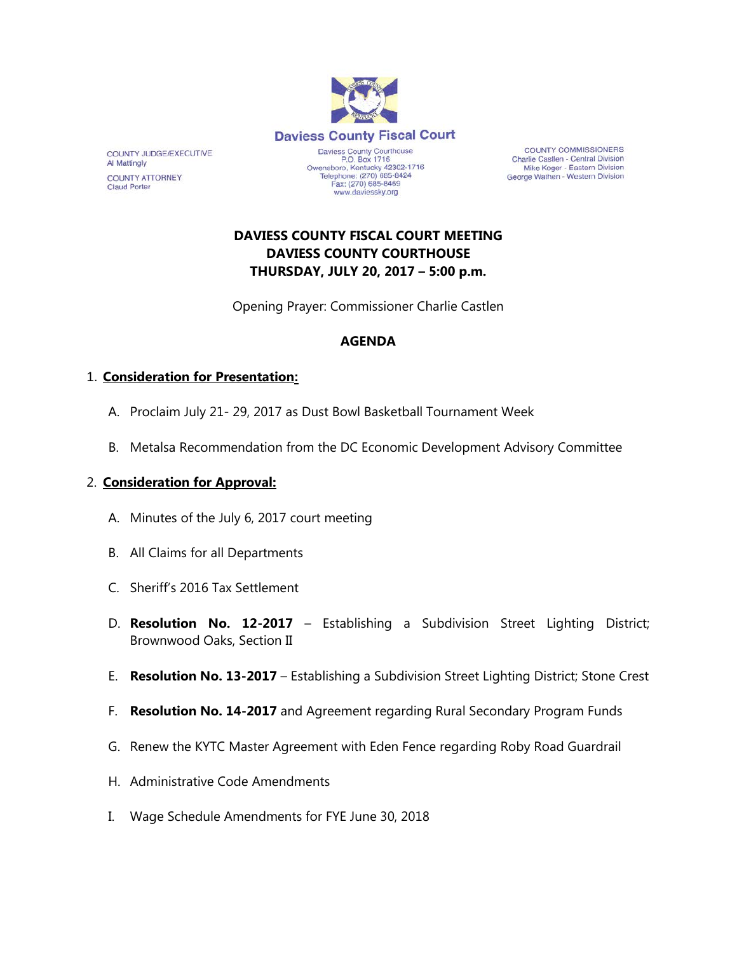

www.daviessky.org

**COUNTY COMMISSIONERS** Charlie Castlen - Central Division Mike Koger - Eastern Division George Wathen - Western Division

# **DAVIESS COUNTY FISCAL COURT MEETING DAVIESS COUNTY COURTHOUSE THURSDAY, JULY 20, 2017 – 5:00 p.m.**

Opening Prayer: Commissioner Charlie Castlen

#### **AGENDA**

## 1. **Consideration for Presentation:**

COUNTY JUDGE/EXECUTIVE

**COUNTY ATTORNEY** 

Al Mattingly

**Claud Porter** 

- A. Proclaim July 21- 29, 2017 as Dust Bowl Basketball Tournament Week
- B. Metalsa Recommendation from the DC Economic Development Advisory Committee

#### 2. **Consideration for Approval:**

- A. Minutes of the July 6, 2017 court meeting
- B. All Claims for all Departments
- C. Sheriff's 2016 Tax Settlement
- D. **Resolution No. 12-2017** Establishing a Subdivision Street Lighting District; Brownwood Oaks, Section II
- E. **Resolution No. 13-2017** Establishing a Subdivision Street Lighting District; Stone Crest
- F. **Resolution No. 14-2017** and Agreement regarding Rural Secondary Program Funds
- G. Renew the KYTC Master Agreement with Eden Fence regarding Roby Road Guardrail
- H. Administrative Code Amendments
- I. Wage Schedule Amendments for FYE June 30, 2018